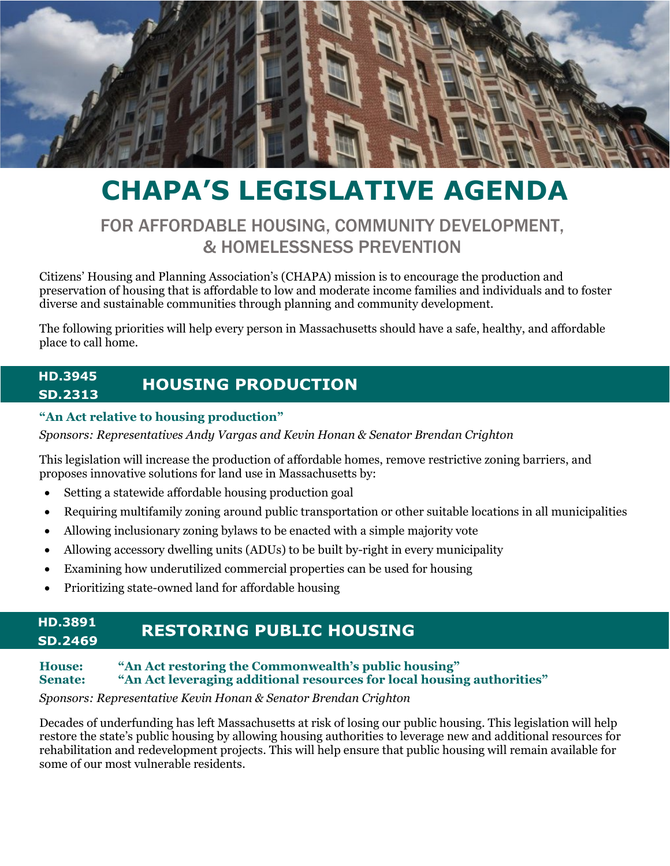

# **CHAPA'S LEGISLATIVE AGENDA**

# FOR AFFORDABLE HOUSING, COMMUNITY DEVELOPMENT, & HOMELESSNESS PREVENTION

Citizens' Housing and Planning Association's (CHAPA) mission is to encourage the production and preservation of housing that is affordable to low and moderate income families and individuals and to foster diverse and sustainable communities through planning and community development.

The following priorities will help every person in Massachusetts should have a safe, healthy, and affordable place to call home.

#### **HD.3945 HOUSING PRODUCTION SD.2313**

#### **"An Act relative to housing production"**

*Sponsors: Representatives Andy Vargas and Kevin Honan & Senator Brendan Crighton*

This legislation will increase the production of affordable homes, remove restrictive zoning barriers, and proposes innovative solutions for land use in Massachusetts by:

- Setting a statewide affordable housing production goal
- Requiring multifamily zoning around public transportation or other suitable locations in all municipalities
- Allowing inclusionary zoning bylaws to be enacted with a simple majority vote
- Allowing accessory dwelling units (ADUs) to be built by-right in every municipality
- Examining how underutilized commercial properties can be used for housing
- Prioritizing state-owned land for affordable housing

#### **HD.3891RESTORING PUBLIC HOUSING SD.2469**

#### **House: "An Act restoring the Commonwealth's public housing" Senate: "An Act leveraging additional resources for local housing authorities"**

# *Sponsors: Representative Kevin Honan & Senator Brendan Crighton*

Decades of underfunding has left Massachusetts at risk of losing our public housing. This legislation will help restore the state's public housing by allowing housing authorities to leverage new and additional resources for rehabilitation and redevelopment projects. This will help ensure that public housing will remain available for some of our most vulnerable residents.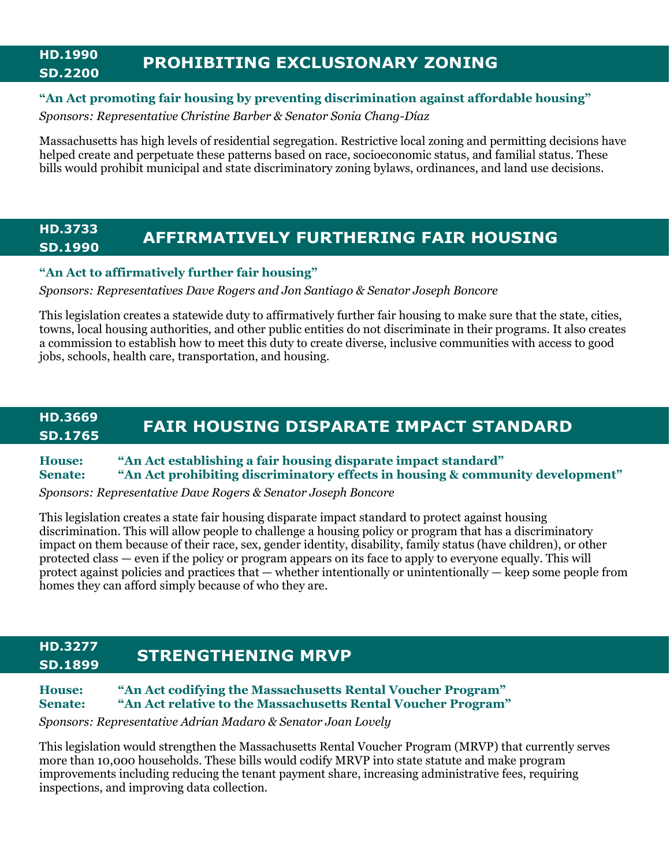## **HD.1990 SD.2200 PROHIBITING EXCLUSIONARY ZONING**

#### **"An Act promoting fair housing by preventing discrimination against affordable housing"**

*Sponsors: Representative Christine Barber & Senator Sonia Chang-Díaz*

Massachusetts has high levels of residential segregation. Restrictive local zoning and permitting decisions have helped create and perpetuate these patterns based on race, socioeconomic status, and familial status. These bills would prohibit municipal and state discriminatory zoning bylaws, ordinances, and land use decisions.

#### **HD.3733 SD.1990 AFFIRMATIVELY FURTHERING FAIR HOUSING**

#### **"An Act to affirmatively further fair housing"**

*Sponsors: Representatives Dave Rogers and Jon Santiago & Senator Joseph Boncore*

This legislation creates a statewide duty to affirmatively further fair housing to make sure that the state, cities, towns, local housing authorities, and other public entities do not discriminate in their programs. It also creates a commission to establish how to meet this duty to create diverse, inclusive communities with access to good jobs, schools, health care, transportation, and housing.

#### **HD.3669 SD.1765 FAIR HOUSING DISPARATE IMPACT STANDARD**

**House: "An Act establishing a fair housing disparate impact standard" Senate: "An Act prohibiting discriminatory effects in housing & community development"**

*Sponsors: Representative Dave Rogers & Senator Joseph Boncore*

This legislation creates a state fair housing disparate impact standard to protect against housing discrimination. This will allow people to challenge a housing policy or program that has a discriminatory impact on them because of their race, sex, gender identity, disability, family status (have children), or other protected class — even if the policy or program appears on its face to apply to everyone equally. This will protect against policies and practices that — whether intentionally or unintentionally — keep some people from homes they can afford simply because of who they are.

#### **HD.3277 SD.1899 STRENGTHENING MRVP**

#### **House: "An Act codifying the Massachusetts Rental Voucher Program" Senate: "An Act relative to the Massachusetts Rental Voucher Program"**

*Sponsors: Representative Adrian Madaro & Senator Joan Lovely*

This legislation would strengthen the Massachusetts Rental Voucher Program (MRVP) that currently serves more than 10,000 households. These bills would codify MRVP into state statute and make program improvements including reducing the tenant payment share, increasing administrative fees, requiring inspections, and improving data collection.